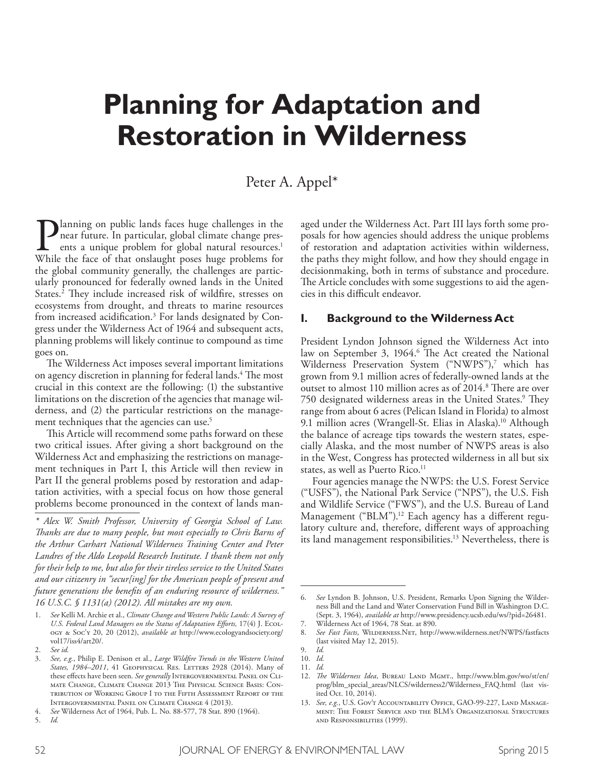# **Planning for Adaptation and Restoration in Wilderness**

## Peter A. Appel\*

**Planning on public lands faces huge challenges in the near future. In particular, global climate change presents a unique problem for global natural resources.<sup>1</sup> While the face of that onslaught poses huge problems for** near future. In particular, global climate change presents a unique problem for global natural resources. 1 While the face of that onslaught poses huge problems for the global community generally, the challenges are particularly pronounced for federally owned lands in the United States.<sup>2</sup> They include increased risk of wildfire, stresses on ecosystems from drought, and threats to marine resources from increased acidifcation. 3 For lands designated by Congress under the Wilderness Act of 1964 and subsequent acts, planning problems will likely continue to compound as time goes on.

The Wilderness Act imposes several important limitations on agency discretion in planning for federal lands.<sup>4</sup> The most crucial in this context are the following: (1) the substantive limitations on the discretion of the agencies that manage wilderness, and (2) the particular restrictions on the management techniques that the agencies can use. 5

This Article will recommend some paths forward on these two critical issues. After giving a short background on the Wilderness Act and emphasizing the restrictions on management techniques in Part I, this Article will then review in Part II the general problems posed by restoration and adaptation activities, with a special focus on how those general problems become pronounced in the context of lands managed under the Wilderness Act. Part III lays forth some proposals for how agencies should address the unique problems of restoration and adaptation activities within wilderness, the paths they might follow, and how they should engage in decisionmaking, both in terms of substance and procedure. The Article concludes with some suggestions to aid the agencies in this difficult endeavor.

#### **I. Background to the Wilderness Act**

President Lyndon Johnson signed the Wilderness Act into law on September 3, 1964.<sup>6</sup> The Act created the National Wilderness Preservation System ("NWPS"),7 which has grown from 9.1 million acres of federally-owned lands at the outset to almost 110 million acres as of 2014.<sup>8</sup> There are over 750 designated wilderness areas in the United States.<sup>9</sup> They range from about 6 acres (Pelican Island in Florida) to almost 9.1 million acres (Wrangell-St. Elias in Alaska). 10 Although the balance of acreage tips towards the western states, especially Alaska, and the most number of NWPS areas is also in the West, Congress has protected wilderness in all but six states, as well as Puerto Rico. 11

Four agencies manage the NWPS: the U.S. Forest Service ("USFS"), the National Park Service ("NPS"), the U.S. Fish and Wildlife Service ("FWS"), and the U.S. Bureau of Land Management ("BLM"). 12 Each agency has a diferent regulatory culture and, therefore, diferent ways of approaching its land management responsibilities. 13 Nevertheless, there is

*<sup>\*</sup> Alex W. Smith Professor, University of Georgia School of Law. Tanks are due to many people, but most especially to Chris Barns of the Arthur Carhart National Wilderness Training Center and Peter Landres of the Aldo Leopold Research Institute. I thank them not only for their help to me, but also for their tireless service to the United States and our citizenry in "secur[ing] for the American people of present and future generations the benefts of an enduring resource of wilderness." 16 U.S.C. § 1131(a) (2012). All mistakes are my own.*

<sup>1.</sup> *See* Kelli M. Archie et al., *Climate Change and Western Public Lands: A Survey of U.S. Federal Land Managers on the Status of Adaptation Eforts,* 17(4) J. Ecology & Soc'y 20, 20 (2012), *available at* http://www.ecologyandsociety.org/ vol17/iss4/art20/.

<sup>2.</sup> *See id.*

<sup>3.</sup> *See, e.g.*, Philip E. Denison et al., *Large Wildfre Trends in the Western United*  States, 1984–2011, 41 GEOPHYSICAL RES. LETTERS 2928 (2014). Many of these effects have been seen. *See generally* INTERGOVERNMENTAL PANEL ON CLImate Change, Climate Change 2013 The Physical Science Basis: Contribution of Working Group I to the Fifth Assessment Report of the Intergovernmental Panel on Climate Change 4 (2013).

<sup>4.</sup> *See* Wilderness Act of 1964, Pub. L. No. 88-577, 78 Stat. 890 (1964).

<sup>5.</sup> *Id.*

<sup>6.</sup> *See* Lyndon B. Johnson, U.S. President, Remarks Upon Signing the Wilderness Bill and the Land and Water Conservation Fund Bill in Washington D.C. (Sept. 3, 1964), *available at* http://www.presidency.ucsb.edu/ws/?pid=26481.

<sup>7.</sup> Wilderness Act of 1964, 78 Stat. at 890.

<sup>8.</sup> *See Fast Facts*, Wilderness.Net, http://www.wilderness.net/NWPS/fastfacts (last visited May 12, 2015).

<sup>9.</sup> *Id.*

<sup>10.</sup> *Id.*

<sup>11.</sup> *Id.*

<sup>12.</sup> *The Wilderness Idea*, BUREAU LAND MGMT., http://www.blm.gov/wo/st/en/ prog/blm\_special\_areas/NLCS/wilderness2/Wilderness\_FAQ.html (last visited Oct. 10, 2014).

<sup>13.</sup> *See, e.g.*, U.S. Gov't Accountability Office, GAO-99-227, Land Management: The Forest Service and the BLM's Organizational Structures and Responsibilities (1999).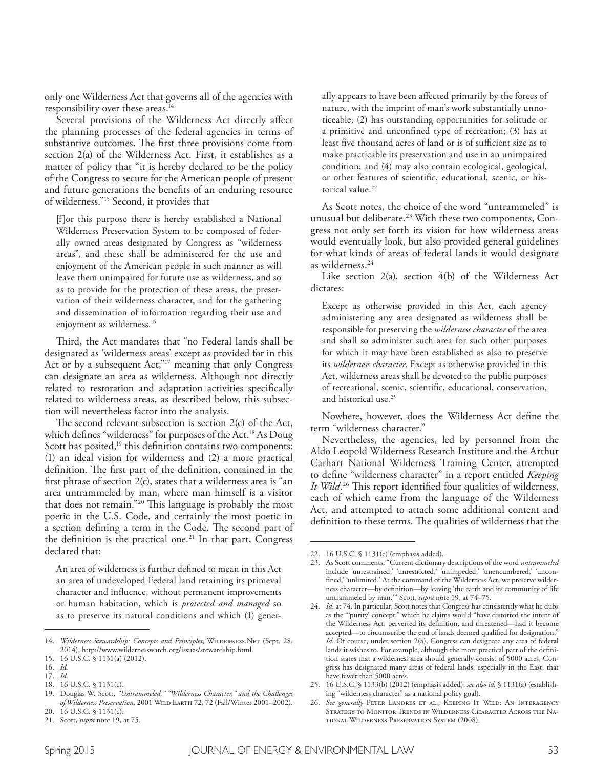only one Wilderness Act that governs all of the agencies with responsibility over these areas. 14

Several provisions of the Wilderness Act directly afect the planning processes of the federal agencies in terms of substantive outcomes. The first three provisions come from section 2(a) of the Wilderness Act. First, it establishes as a matter of policy that "it is hereby declared to be the policy of the Congress to secure for the American people of present and future generations the benefts of an enduring resource of wilderness."15 Second, it provides that

[f]or this purpose there is hereby established a National Wilderness Preservation System to be composed of federally owned areas designated by Congress as "wilderness areas", and these shall be administered for the use and enjoyment of the American people in such manner as will leave them unimpaired for future use as wilderness, and so as to provide for the protection of these areas, the preservation of their wilderness character, and for the gathering and dissemination of information regarding their use and enjoyment as wilderness. 16

Third, the Act mandates that "no Federal lands shall be designated as 'wilderness areas' except as provided for in this Act or by a subsequent Act,"<sup>17</sup> meaning that only Congress can designate an area as wilderness. Although not directly related to restoration and adaptation activities specifcally related to wilderness areas, as described below, this subsection will nevertheless factor into the analysis.

The second relevant subsection is section  $2(c)$  of the Act, which defnes "wilderness" for purposes of the Act. 18 As Doug Scott has posited,<sup>19</sup> this definition contains two components: (1) an ideal vision for wilderness and (2) a more practical definition. The first part of the definition, contained in the frst phrase of section 2(c), states that a wilderness area is "an area untrammeled by man, where man himself is a visitor that does not remain."<sup>20</sup> This language is probably the most poetic in the U.S. Code, and certainly the most poetic in a section defining a term in the Code. The second part of the defnition is the practical one. 21 In that part, Congress declared that:

An area of wilderness is further defned to mean in this Act an area of undeveloped Federal land retaining its primeval character and infuence, without permanent improvements or human habitation, which is *protected and managed* so as to preserve its natural conditions and which (1) generally appears to have been afected primarily by the forces of nature, with the imprint of man's work substantially unnoticeable; (2) has outstanding opportunities for solitude or a primitive and unconfned type of recreation; (3) has at least five thousand acres of land or is of sufficient size as to make practicable its preservation and use in an unimpaired condition; and (4) may also contain ecological, geological, or other features of scientifc, educational, scenic, or historical value. 22

As Scott notes, the choice of the word "untrammeled" is unusual but deliberate. 23 With these two components, Congress not only set forth its vision for how wilderness areas would eventually look, but also provided general guidelines for what kinds of areas of federal lands it would designate as wilderness. 24

Like section  $2(a)$ , section  $4(b)$  of the Wilderness Act dictates:

Except as otherwise provided in this Act, each agency administering any area designated as wilderness shall be responsible for preserving the *wilderness character* of the area and shall so administer such area for such other purposes for which it may have been established as also to preserve its *wilderness character*. Except as otherwise provided in this Act, wilderness areas shall be devoted to the public purposes of recreational, scenic, scientifc, educational, conservation, and historical use. 25

Nowhere, however, does the Wilderness Act defne the term "wilderness character."

Nevertheless, the agencies, led by personnel from the Aldo Leopold Wilderness Research Institute and the Arthur Carhart National Wilderness Training Center, attempted to defne "wilderness character" in a report entitled *Keeping*  It Wild.<sup>26</sup> This report identified four qualities of wilderness, each of which came from the language of the Wilderness Act, and attempted to attach some additional content and definition to these terms. The qualities of wilderness that the

<sup>14.</sup> Wilderness Stewardship: Concepts and Principles, WILDERNESS.NET (Sept. 28, 2014), http://www.wildernesswatch.org/issues/stewardship.html.

<sup>15.</sup> 16 U.S.C. § 1131(a) (2012).

<sup>16.</sup> *Id.*  17. *Id.*

<sup>18.</sup> 16 U.S.C. § 1131(c).

<sup>19.</sup> Douglas W. Scott, *"Untrammeled," "Wilderness Character," and the Challenges of Wilderness Preservation*, 2001 Wild Earth 72, 72 (Fall/Winter 2001–2002).

<sup>20.</sup> 16 U.S.C. § 1131(c).

<sup>21.</sup> Scott, *supra* note 19, at 75.

<sup>22.</sup> 16 U.S.C. § 1131(c) (emphasis added).

<sup>23.</sup> As Scott comments: "Current dictionary descriptions of the word *untrammeled* include 'unrestrained,' 'unrestricted,' 'unimpeded,' 'unencumbered,' 'unconfned,' 'unlimited.' At the command of the Wilderness Act, we preserve wilderness character—by defnition—by leaving 'the earth and its community of life untrammeled by man.'" Scott, *supra* note 19, at 74–75.

<sup>24.</sup> *Id.* at 74. In particular, Scott notes that Congress has consistently what he dubs as the "'purity' concept," which he claims would "have distorted the intent of the Wilderness Act, perverted its defnition, and threatened—had it become accepted—to circumscribe the end of lands deemed qualifed for designation." *Id.* Of course, under section 2(a), Congress can designate any area of federal lands it wishes to. For example, although the more practical part of the defnition states that a wilderness area should generally consist of 5000 acres, Congress has designated many areas of federal lands, especially in the East, that have fewer than 5000 acres.

<sup>25.</sup> 16 U.S.C. § 1133(b) (2012) (emphasis added); *see also id.* § 1131(a) (establishing "wilderness character" as a national policy goal).

<sup>26.</sup> *See generally* Peter Landres et al., Keeping It Wild: An Interagency STRATEGY TO MONITOR TRENDS IN WILDERNESS CHARACTER ACROSS THE NAtional Wilderness Preservation System (2008).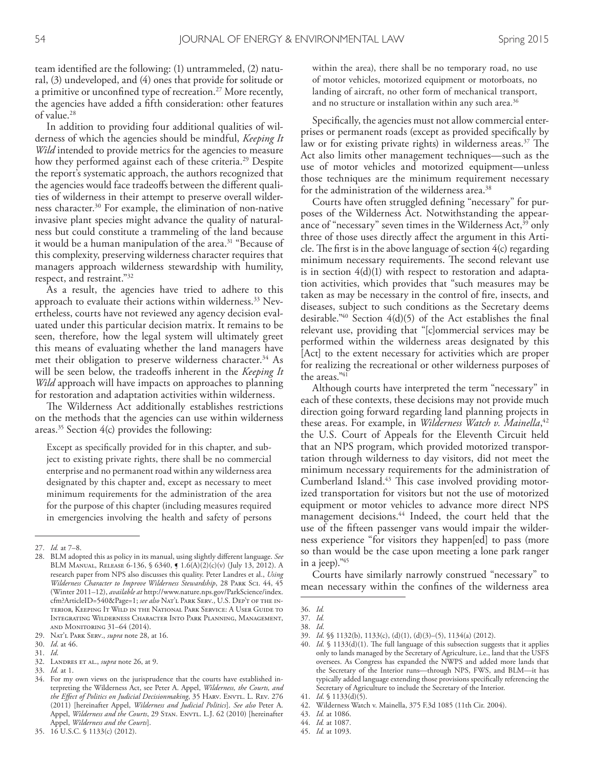team identifed are the following: (1) untrammeled, (2) natural, (3) undeveloped, and (4) ones that provide for solitude or a primitive or unconfned type of recreation. 27 More recently, the agencies have added a ffth consideration: other features of value. 28

In addition to providing four additional qualities of wilderness of which the agencies should be mindful, *Keeping It Wild* intended to provide metrics for the agencies to measure how they performed against each of these criteria. 29 Despite the report's systematic approach, the authors recognized that the agencies would face tradeofs between the diferent qualities of wilderness in their attempt to preserve overall wilderness character. 30 For example, the elimination of non-native invasive plant species might advance the quality of naturalness but could constitute a trammeling of the land because it would be a human manipulation of the area. 31 "Because of this complexity, preserving wilderness character requires that managers approach wilderness stewardship with humility, respect, and restraint."32

As a result, the agencies have tried to adhere to this approach to evaluate their actions within wilderness. 33 Nevertheless, courts have not reviewed any agency decision evaluated under this particular decision matrix. It remains to be seen, therefore, how the legal system will ultimately greet this means of evaluating whether the land managers have met their obligation to preserve wilderness character. 34 As will be seen below, the tradeofs inherent in the *Keeping It Wild* approach will have impacts on approaches to planning for restoration and adaptation activities within wilderness.

The Wilderness Act additionally establishes restrictions on the methods that the agencies can use within wilderness areas. 35 Section 4(c) provides the following:

Except as specifcally provided for in this chapter, and subject to existing private rights, there shall be no commercial enterprise and no permanent road within any wilderness area designated by this chapter and, except as necessary to meet minimum requirements for the administration of the area for the purpose of this chapter (including measures required in emergencies involving the health and safety of persons within the area), there shall be no temporary road, no use of motor vehicles, motorized equipment or motorboats, no landing of aircraft, no other form of mechanical transport, and no structure or installation within any such area. 36

Specifcally, the agencies must not allow commercial enterprises or permanent roads (except as provided specifcally by law or for existing private rights) in wilderness areas.<sup>37</sup> The Act also limits other management techniques—such as the use of motor vehicles and motorized equipment—unless those techniques are the minimum requirement necessary for the administration of the wilderness area. 38

Courts have often struggled defning "necessary" for purposes of the Wilderness Act. Notwithstanding the appearance of "necessary" seven times in the Wilderness Act,<sup>39</sup> only three of those uses directly afect the argument in this Article. The first is in the above language of section  $4(c)$  regarding minimum necessary requirements. The second relevant use is in section 4(d)(1) with respect to restoration and adaptation activities, which provides that "such measures may be taken as may be necessary in the control of fre, insects, and diseases, subject to such conditions as the Secretary deems desirable." 40 Section 4(d)(5) of the Act establishes the fnal relevant use, providing that "[c]ommercial services may be performed within the wilderness areas designated by this [Act] to the extent necessary for activities which are proper for realizing the recreational or other wilderness purposes of the areas." 41

Although courts have interpreted the term "necessary" in each of these contexts, these decisions may not provide much direction going forward regarding land planning projects in these areas. For example, in *Wilderness Watch v. Mainella*, 42 the U.S. Court of Appeals for the Eleventh Circuit held that an NPS program, which provided motorized transportation through wilderness to day visitors, did not meet the minimum necessary requirements for the administration of Cumberland Island.<sup>43</sup> This case involved providing motorized transportation for visitors but not the use of motorized equipment or motor vehicles to advance more direct NPS management decisions. 44 Indeed, the court held that the use of the ffteen passenger vans would impair the wilderness experience "for visitors they happen[ed] to pass (more so than would be the case upon meeting a lone park ranger in a jeep)." 45

Courts have similarly narrowly construed "necessary" to mean necessary within the confnes of the wilderness area

45. *Id.* at 1093.

<sup>27.</sup> *Id.* at 7–8.

<sup>28.</sup> BLM adopted this as policy in its manual, using slightly diferent language. *See*  BLM Manual, Release 6-136, § 6340, ¶ 1.6(A)(2)(c)(v) (July 13, 2012). A research paper from NPS also discusses this quality. Peter Landres et al., *Using Wilderness Character to Improve Wilderness Stewardship*, 28 Park Sci. 44, 45 (Winter 2011–12), *available at* http://www.nature.nps.gov/ParkScience/index. cfm?ArticleID=540&Page=1; *see also* Nat'l Park Serv., U.S. Dep't of the interior, Keeping It Wild in the National Park Service: A User Guide to Integrating Wilderness Character Into Park Planning, Management, and Monitoring 31–64 (2014).

<sup>29.</sup> Nat'l Park Serv., *supra* note 28, at 16.

<sup>30.</sup> *Id*. at 46.

<sup>31.</sup> *Id*.

<sup>32.</sup> Landres et al., *supra* note 26, at 9.

<sup>33.</sup> *Id.* at 1.

<sup>34.</sup> For my own views on the jurisprudence that the courts have established interpreting the Wilderness Act, see Peter A. Appel, *Wilderness, the Courts, and*  the Effect of Politics on Judicial Decisionmaking, 35 HARV. ENVTL. L. REV. 276 (2011) [hereinafter Appel, *Wilderness and Judicial Politics*]. *See also* Peter A. Appel, *Wilderness and the Courts*, 29 STAN. ENVTL. L.J. 62 (2010) [hereinafter Appel, *Wilderness and the Courts*].

<sup>36.</sup> *Id.*

<sup>37.</sup> *Id.*

<sup>38.</sup> *Id*.

<sup>39.</sup> *Id*. §§ 1132(b), 1133(c), (d)(1), (d)(3)–(5), 1134(a) (2012).

<sup>40.</sup> *Id*. § 1133(d)(1). The full language of this subsection suggests that it applies only to lands managed by the Secretary of Agriculture, i.e., land that the USFS oversees. As Congress has expanded the NWPS and added more lands that the Secretary of the Interior runs—through NPS, FWS, and BLM—it has typically added language extending those provisions specifcally referencing the Secretary of Agriculture to include the Secretary of the Interior.

<sup>41.</sup> *Id*. § 1133(d)(5).

<sup>42.</sup> Wilderness Watch v. Mainella, 375 F.3d 1085 (11th Cir. 2004).

<sup>43.</sup> *Id.* at 1086.

<sup>44.</sup> *Id.* at 1087.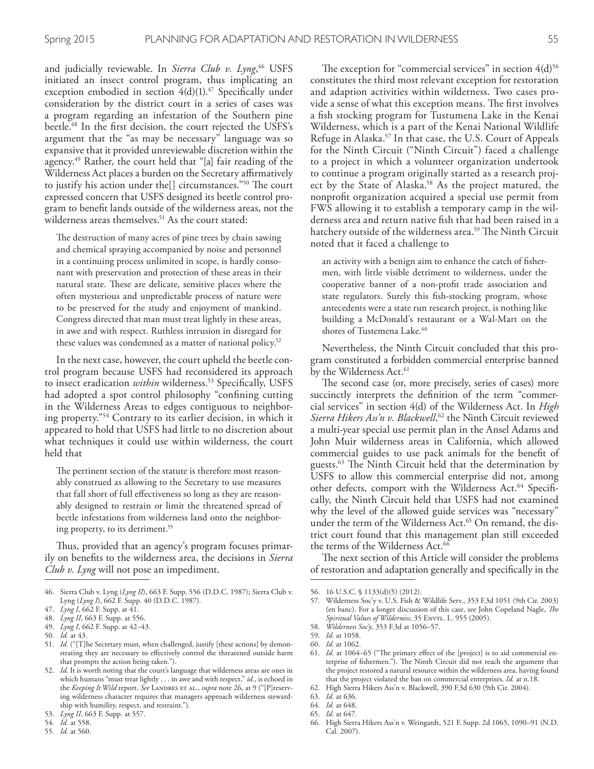and judicially reviewable. In *Sierra Club v. Lyng*, 46 USFS initiated an insect control program, thus implicating an exception embodied in section 4(d)(1). 47 Specifcally under consideration by the district court in a series of cases was a program regarding an infestation of the Southern pine beetle. 48 In the frst decision, the court rejected the USFS's argument that the "as may be necessary" language was so expansive that it provided unreviewable discretion within the agency. 49 Rather, the court held that "[a] fair reading of the Wilderness Act places a burden on the Secretary afrmatively to justify his action under the [] circumstances."<sup>50</sup> The court expressed concern that USFS designed its beetle control program to beneft lands outside of the wilderness areas, not the wilderness areas themselves. 51 As the court stated:

The destruction of many acres of pine trees by chain sawing and chemical spraying accompanied by noise and personnel in a continuing process unlimited in scope, is hardly consonant with preservation and protection of these areas in their natural state. These are delicate, sensitive places where the often mysterious and unpredictable process of nature were to be preserved for the study and enjoyment of mankind. Congress directed that man must treat lightly in these areas, in awe and with respect. Ruthless intrusion in disregard for these values was condemned as a matter of national policy. 52

In the next case, however, the court upheld the beetle control program because USFS had reconsidered its approach to insect eradication *within* wilderness. 53 Specifcally, USFS had adopted a spot control philosophy "confning cutting in the Wilderness Areas to edges contiguous to neighboring property."54 Contrary to its earlier decision, in which it appeared to hold that USFS had little to no discretion about what techniques it could use within wilderness, the court held that

The pertinent section of the statute is therefore most reasonably construed as allowing to the Secretary to use measures that fall short of full efectiveness so long as they are reasonably designed to restrain or limit the threatened spread of beetle infestations from wilderness land onto the neighboring property, to its detriment. 55

Thus, provided that an agency's program focuses primarily on benefts to the wilderness area, the decisions in *Sierra Club v. Lyng* will not pose an impediment.

The exception for "commercial services" in section  $4(d)^{56}$ constitutes the third most relevant exception for restoration and adaption activities within wilderness. Two cases provide a sense of what this exception means. The first involves a fsh stocking program for Tustumena Lake in the Kenai Wilderness, which is a part of the Kenai National Wildlife Refuge in Alaska. 57 In that case, the U.S. Court of Appeals for the Ninth Circuit ("Ninth Circuit") faced a challenge to a project in which a volunteer organization undertook to continue a program originally started as a research project by the State of Alaska. 58 As the project matured, the nonproft organization acquired a special use permit from FWS allowing it to establish a temporary camp in the wilderness area and return native fsh that had been raised in a hatchery outside of the wilderness area.<sup>59</sup> The Ninth Circuit noted that it faced a challenge to

an activity with a benign aim to enhance the catch of fshermen, with little visible detriment to wilderness, under the cooperative banner of a non-proft trade association and state regulators. Surely this fsh-stocking program, whose antecedents were a state run research project, is nothing like building a McDonald's restaurant or a Wal-Mart on the shores of Tustemena Lake. 60

Nevertheless, the Ninth Circuit concluded that this program constituted a forbidden commercial enterprise banned by the Wilderness Act. 61

The second case (or, more precisely, series of cases) more succinctly interprets the defnition of the term "commercial services" in section 4(d) of the Wilderness Act. In *High Sierra Hikers Ass'n v. Blackwell*, 62 the Ninth Circuit reviewed a multi-year special use permit plan in the Ansel Adams and John Muir wilderness areas in California, which allowed commercial guides to use pack animals for the beneft of guests.<sup>63</sup> The Ninth Circuit held that the determination by USFS to allow this commercial enterprise did not, among other defects, comport with the Wilderness Act.<sup>64</sup> Specifically, the Ninth Circuit held that USFS had not examined why the level of the allowed guide services was "necessary" under the term of the Wilderness Act. 65 On remand, the district court found that this management plan still exceeded the terms of the Wilderness Act. 66

The next section of this Article will consider the problems of restoration and adaptation generally and specifcally in the

58. *Wilderness Soc'y*, 353 F.3d at 1056–57.

<sup>46.</sup> Sierra Club v. Lyng (*Lyng II*), 663 F. Supp. 556 (D.D.C. 1987); Sierra Club v. Lyng (*Lyng I*), 662 F. Supp. 40 (D.D.C. 1987).

<sup>47.</sup> *Lyng I*, 662 F. Supp. at 41.

<sup>48.</sup> *Lyng II*, 663 F. Supp. at 556.

<sup>49.</sup> *Lyng I*, 662 F. Supp. at 42–43.

<sup>50.</sup> *Id.* at 43.

<sup>51.</sup> *Id.* ("[T]he Secretary must, when challenged, justify [these actions] by demonstrating they are necessary to efectively control the threatened outside harm that prompts the action being taken.").

<sup>52.</sup> *Id*. It is worth noting that the court's language that wilderness areas are ones in which humans "must treat lightly . . . in awe and with respect," *id.*, is echoed in the *Keeping It Wild* report. *See* LANDRES ET AL., *supra* note 26, at 9 ("[P]reserving wilderness character requires that managers approach wilderness stewardship with humility, respect, and restraint.").

<sup>53.</sup> *Lyng II*, 663 F. Supp. at 557.

<sup>54.</sup> *Id.* at 558.

<sup>55.</sup> *Id.* at 560.

<sup>56.</sup> 16 U.S.C. § 1133(d)(5) (2012).

<sup>57.</sup> Wilderness Soc'y v. U.S. Fish & Wildlife Serv., 353 F.3d 1051 (9th Cir. 2003) (en banc). For a longer discussion of this case, see John Copeland Nagle, *Te Spiritual Values of Wilderness*, 35 Envtl. L. 955 (2005).

<sup>59.</sup> *Id.* at 1058.

<sup>60.</sup> *Id.* at 1062.

<sup>61.</sup> *Id.* at 1064–65 ("The primary effect of the [project] is to aid commercial enterprise of fishermen."). The Ninth Circuit did not reach the argument that the project restored a natural resource within the wilderness area, having found that the project violated the ban on commercial enterprises. *Id.* at n.18.

<sup>62.</sup> High Sierra Hikers Ass'n v. Blackwell, 390 F.3d 630 (9th Cir. 2004).

<sup>63.</sup> *Id.* at 636.

<sup>64.</sup> *Id.* at 648.

<sup>65.</sup> *Id.* at 647.

<sup>66.</sup> High Sierra Hikers Ass'n v. Weingardt, 521 F. Supp. 2d 1065, 1090–91 (N.D. Cal. 2007).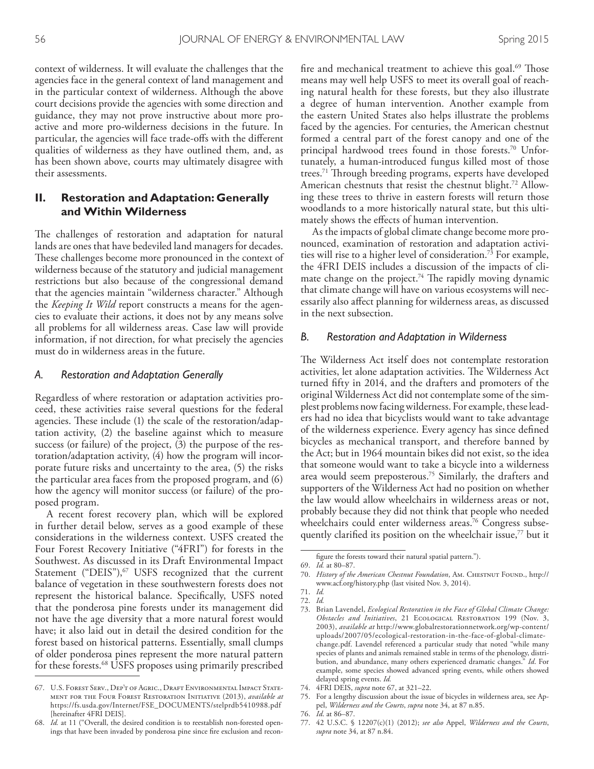context of wilderness. It will evaluate the challenges that the agencies face in the general context of land management and in the particular context of wilderness. Although the above court decisions provide the agencies with some direction and guidance, they may not prove instructive about more proactive and more pro-wilderness decisions in the future. In particular, the agencies will face trade-ofs with the diferent qualities of wilderness as they have outlined them, and, as has been shown above, courts may ultimately disagree with their assessments.

### **II. Restoration and Adaptation: Generally and Within Wilderness**

The challenges of restoration and adaptation for natural lands are ones that have bedeviled land managers for decades. These challenges become more pronounced in the context of wilderness because of the statutory and judicial management restrictions but also because of the congressional demand that the agencies maintain "wilderness character." Although the *Keeping It Wild* report constructs a means for the agencies to evaluate their actions, it does not by any means solve all problems for all wilderness areas. Case law will provide information, if not direction, for what precisely the agencies must do in wilderness areas in the future.

#### *A. Restoration and Adaptation Generally*

Regardless of where restoration or adaptation activities proceed, these activities raise several questions for the federal agencies. These include (1) the scale of the restoration/adaptation activity, (2) the baseline against which to measure success (or failure) of the project, (3) the purpose of the restoration/adaptation activity, (4) how the program will incorporate future risks and uncertainty to the area, (5) the risks the particular area faces from the proposed program, and (6) how the agency will monitor success (or failure) of the proposed program.

A recent forest recovery plan, which will be explored in further detail below, serves as a good example of these considerations in the wilderness context. USFS created the Four Forest Recovery Initiative ("4FRI") for forests in the Southwest. As discussed in its Draft Environmental Impact Statement ("DEIS"), $67$  USFS recognized that the current balance of vegetation in these southwestern forests does not represent the historical balance. Specifcally, USFS noted that the ponderosa pine forests under its management did not have the age diversity that a more natural forest would have; it also laid out in detail the desired condition for the forest based on historical patterns. Essentially, small clumps of older ponderosa pines represent the more natural pattern for these forests. 68 USFS proposes using primarily prescribed

fire and mechanical treatment to achieve this goal.<sup>69</sup> Those means may well help USFS to meet its overall goal of reaching natural health for these forests, but they also illustrate a degree of human intervention. Another example from the eastern United States also helps illustrate the problems faced by the agencies. For centuries, the American chestnut formed a central part of the forest canopy and one of the principal hardwood trees found in those forests. 70 Unfortunately, a human-introduced fungus killed most of those trees.<sup>71</sup> Through breeding programs, experts have developed American chestnuts that resist the chestnut blight. 72 Allowing these trees to thrive in eastern forests will return those woodlands to a more historically natural state, but this ultimately shows the efects of human intervention.

As the impacts of global climate change become more pronounced, examination of restoration and adaptation activities will rise to a higher level of consideration. 73 For example, the 4FRI DEIS includes a discussion of the impacts of climate change on the project.<sup>74</sup> The rapidly moving dynamic that climate change will have on various ecosystems will necessarily also afect planning for wilderness areas, as discussed in the next subsection.

#### *B. Restoration and Adaptation in Wilderness*

The Wilderness Act itself does not contemplate restoration activities, let alone adaptation activities. The Wilderness Act turned ffty in 2014, and the drafters and promoters of the original Wilderness Act did not contemplate some of the simplest problems now facing wilderness. For example, these leaders had no idea that bicyclists would want to take advantage of the wilderness experience. Every agency has since defned bicycles as mechanical transport, and therefore banned by the Act; but in 1964 mountain bikes did not exist, so the idea that someone would want to take a bicycle into a wilderness area would seem preposterous. 75 Similarly, the drafters and supporters of the Wilderness Act had no position on whether the law would allow wheelchairs in wilderness areas or not, probably because they did not think that people who needed wheelchairs could enter wilderness areas. 76 Congress subsequently clarified its position on the wheelchair issue,<sup>77</sup> but it

<sup>67.</sup> U.S. Forest Serv., Dep't of Agric., Draft Environmental Impact Statement for the Four Forest Restoration Initiative (2013), *available at* https://fs.usda.gov/Internet/FSE\_DOCUMENTS/stelprdb5410988.pdf [hereinafter 4FRI DEIS].

Id. at 11 ("Overall, the desired condition is to reestablish non-forested openings that have been invaded by ponderosa pine since fre exclusion and recon-

fgure the forests toward their natural spatial pattern.").

<sup>69.</sup> *Id.* at 80–87.

<sup>70.</sup> *History of the American Chestnut Foundation*, Am. CHESTNUT FOUND., http:// www.acf.org/history.php (last visited Nov. 3, 2014).

<sup>71.</sup> *Id.* 72. *Id.*

<sup>73.</sup> Brian Lavendel, *Ecological Restoration in the Face of Global Climate Change: Obstacles and Initiatives*, 21 Ecological Restoration 199 (Nov. 3, 2003), *available at* http://www.globalrestorationnetwork.org/wp-content/ uploads/2007/05/ecological-restoration-in-the-face-of-global-climatechange.pdf. Lavendel referenced a particular study that noted "while many species of plants and animals remained stable in terms of the phenology, distribution, and abundance, many others experienced dramatic changes." *Id*. For example, some species showed advanced spring events, while others showed delayed spring events. *Id.*

<sup>74.</sup> 4FRI DEIS, *supra* note 67, at 321–22.

<sup>75.</sup> For a lengthy discussion about the issue of bicycles in wilderness area, see Appel, *Wilderness and the Courts*, *supra* note 34, at 87 n.85.

<sup>76.</sup> *Id*. at 86–87.

<sup>77.</sup> 42 U.S.C. § 12207(c)(1) (2012); *see also* Appel, *Wilderness and the Courts*, *supra* note 34, at 87 n.84.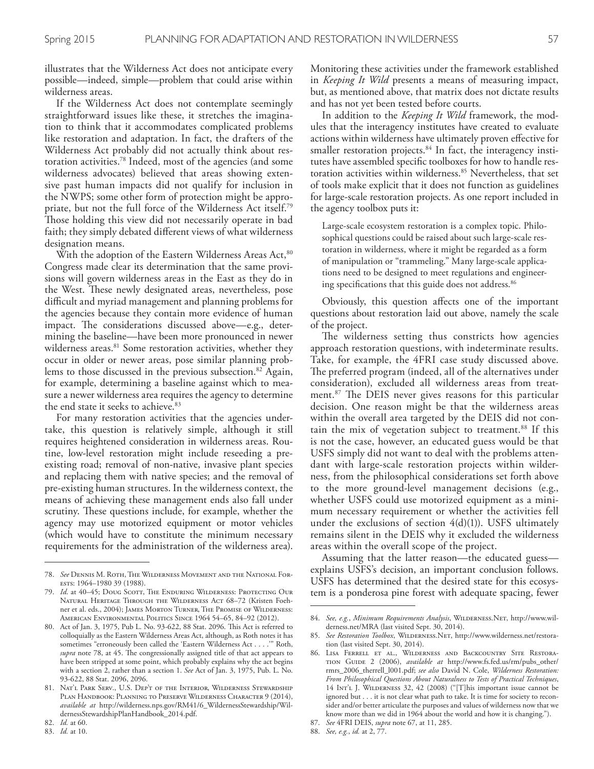illustrates that the Wilderness Act does not anticipate every possible—indeed, simple—problem that could arise within wilderness areas.

If the Wilderness Act does not contemplate seemingly straightforward issues like these, it stretches the imagination to think that it accommodates complicated problems like restoration and adaptation. In fact, the drafters of the Wilderness Act probably did not actually think about restoration activities. 78 Indeed, most of the agencies (and some wilderness advocates) believed that areas showing extensive past human impacts did not qualify for inclusion in the NWPS; some other form of protection might be appropriate, but not the full force of the Wilderness Act itself. 79 Those holding this view did not necessarily operate in bad faith; they simply debated diferent views of what wilderness designation means.

With the adoption of the Eastern Wilderness Areas Act,<sup>80</sup> Congress made clear its determination that the same provisions will govern wilderness areas in the East as they do in the West. These newly designated areas, nevertheless, pose difficult and myriad management and planning problems for the agencies because they contain more evidence of human impact. The considerations discussed above—e.g., determining the baseline—have been more pronounced in newer wilderness areas. 81 Some restoration activities, whether they occur in older or newer areas, pose similar planning problems to those discussed in the previous subsection. 82 Again, for example, determining a baseline against which to measure a newer wilderness area requires the agency to determine the end state it seeks to achieve. 83

For many restoration activities that the agencies undertake, this question is relatively simple, although it still requires heightened consideration in wilderness areas. Routine, low-level restoration might include reseeding a preexisting road; removal of non-native, invasive plant species and replacing them with native species; and the removal of pre-existing human structures. In the wilderness context, the means of achieving these management ends also fall under scrutiny. These questions include, for example, whether the agency may use motorized equipment or motor vehicles (which would have to constitute the minimum necessary requirements for the administration of the wilderness area).

83. *Id.* at 10.

Monitoring these activities under the framework established in *Keeping It Wild* presents a means of measuring impact, but, as mentioned above, that matrix does not dictate results and has not yet been tested before courts.

In addition to the *Keeping It Wild* framework, the modules that the interagency institutes have created to evaluate actions within wilderness have ultimately proven efective for smaller restoration projects. 84 In fact, the interagency institutes have assembled specifc toolboxes for how to handle restoration activities within wilderness. 85 Nevertheless, that set of tools make explicit that it does not function as guidelines for large-scale restoration projects. As one report included in the agency toolbox puts it:

Large-scale ecosystem restoration is a complex topic. Philosophical questions could be raised about such large-scale restoration in wilderness, where it might be regarded as a form of manipulation or "trammeling." Many large-scale applications need to be designed to meet regulations and engineering specifcations that this guide does not address. 86

Obviously, this question afects one of the important questions about restoration laid out above, namely the scale of the project.

The wilderness setting thus constricts how agencies approach restoration questions, with indeterminate results. Take, for example, the 4FRI case study discussed above. The preferred program (indeed, all of the alternatives under consideration), excluded all wilderness areas from treatment.<sup>87</sup> The DEIS never gives reasons for this particular decision. One reason might be that the wilderness areas within the overall area targeted by the DEIS did not contain the mix of vegetation subject to treatment. 88 If this is not the case, however, an educated guess would be that USFS simply did not want to deal with the problems attendant with large-scale restoration projects within wilderness, from the philosophical considerations set forth above to the more ground-level management decisions (e.g., whether USFS could use motorized equipment as a minimum necessary requirement or whether the activities fell under the exclusions of section  $4(d)(1)$ ). USFS ultimately remains silent in the DEIS why it excluded the wilderness areas within the overall scope of the project.

Assuming that the latter reason—the educated guess explains USFS's decision, an important conclusion follows. USFS has determined that the desired state for this ecosystem is a ponderosa pine forest with adequate spacing, fewer

<sup>78.</sup> *See* Dennis M. Roth, The Wilderness Movement and the National Forests: 1964–1980 39 (1988).

<sup>79.</sup> *Id*. at 40–45; Doug Scott, The Enduring Wilderness: Protecting Our Natural Heritage Through the Wilderness Act 68–72 (Kristen Foehner et al. eds., 2004); James Morton Turner, The Promise of Wilderness: American Environmental Politics Since 1964 54–65, 84–92 (2012).

<sup>80.</sup> Act of Jan. 3, 1975, Pub L. No. 93-622, 88 Stat. 2096. Tis Act is referred to colloquially as the Eastern Wilderness Areas Act, although, as Roth notes it has sometimes "erroneously been called the 'Eastern Wilderness Act . . . .'" Roth, supra note 78, at 45. The congressionally assigned title of that act appears to have been stripped at some point, which probably explains why the act begins with a section 2, rather than a section 1. *See* Act of Jan. 3, 1975, Pub. L. No. 93-622, 88 Stat. 2096, 2096.

<sup>81.</sup> Nat'l Park Serv., U.S. Dep't of the Interior, Wilderness Stewardship PLAN HANDBOOK: PLANNING TO PRESERVE WILDERNESS CHARACTER 9 (2014), *available at* http://wilderness.nps.gov/RM41/6\_WildernessStewardship/WildernessStewardshipPlanHandbook\_2014.pdf.

<sup>82.</sup> *Id.* at 60.

<sup>84.</sup> *See, e.g.*, *Minimum Requirements Analysis*, Wilderness.Net, http://www.wilderness.net/MRA (last visited Sept. 30, 2014).

<sup>85.</sup> See Restoration Toolbox, WILDERNESS.NET, http://www.wilderness.net/restoration (last visited Sept. 30, 2014).

<sup>86.</sup> Lisa Ferrell et al., Wilderness and Backcountry Site Restoration Guide 2 (2006), *available at* http://www.fs.fed.us/rm/pubs\_other/ rmrs\_2006\_therrell\_l001.pdf; *see also* David N. Cole, *Wilderness Restoration: From Philosophical Questions About Naturalness to Tests of Practical Techniques*, 14 Int'l J. Wilderness 32, 42 (2008) ("[T]his important issue cannot be ignored but . . . it is not clear what path to take. It is time for society to reconsider and/or better articulate the purposes and values of wilderness now that we know more than we did in 1964 about the world and how it is changing.").

<sup>87.</sup> *See* 4FRI DEIS, *supra* note 67, at 11, 285.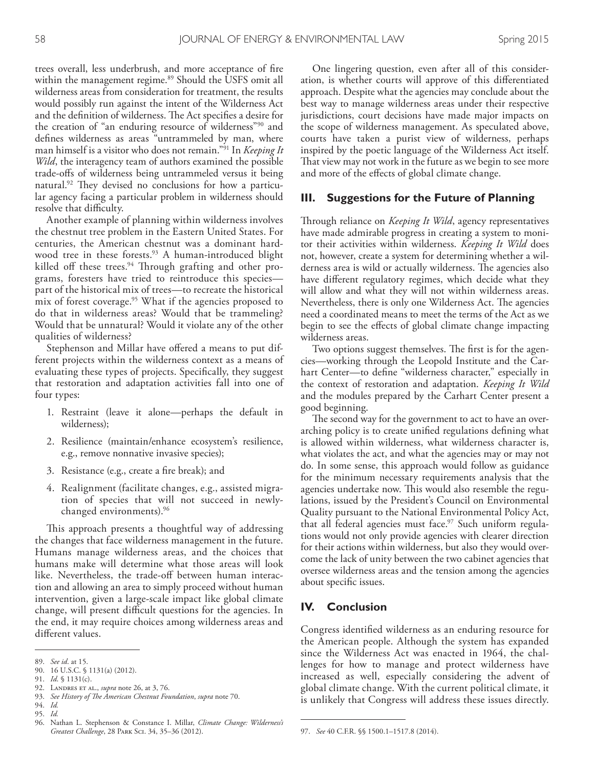trees overall, less underbrush, and more acceptance of fre within the management regime. 89 Should the USFS omit all wilderness areas from consideration for treatment, the results would possibly run against the intent of the Wilderness Act and the definition of wilderness. The Act specifies a desire for the creation of "an enduring resource of wilderness"90 and defnes wilderness as areas "untrammeled by man, where man himself is a visitor who does not remain."91 In *Keeping It Wild*, the interagency team of authors examined the possible trade-ofs of wilderness being untrammeled versus it being natural.<sup>92</sup> They devised no conclusions for how a particular agency facing a particular problem in wilderness should resolve that difficulty.

Another example of planning within wilderness involves the chestnut tree problem in the Eastern United States. For centuries, the American chestnut was a dominant hardwood tree in these forests. 93 A human-introduced blight killed off these trees.<sup>94</sup> Through grafting and other programs, foresters have tried to reintroduce this species part of the historical mix of trees—to recreate the historical mix of forest coverage. 95 What if the agencies proposed to do that in wilderness areas? Would that be trammeling? Would that be unnatural? Would it violate any of the other qualities of wilderness?

Stephenson and Millar have offered a means to put different projects within the wilderness context as a means of evaluating these types of projects. Specifcally, they suggest that restoration and adaptation activities fall into one of four types:

- 1. Restraint (leave it alone—perhaps the default in wilderness);
- 2. Resilience (maintain/enhance ecosystem's resilience, e.g., remove nonnative invasive species);
- 3. Resistance (e.g., create a fre break); and
- 4. Realignment (facilitate changes, e.g., assisted migration of species that will not succeed in newlychanged environments). 96

This approach presents a thoughtful way of addressing the changes that face wilderness management in the future. Humans manage wilderness areas, and the choices that humans make will determine what those areas will look like. Nevertheless, the trade-off between human interaction and allowing an area to simply proceed without human intervention, given a large-scale impact like global climate change, will present difficult questions for the agencies. In the end, it may require choices among wilderness areas and diferent values.

95. *Id.*

One lingering question, even after all of this consideration, is whether courts will approve of this diferentiated approach. Despite what the agencies may conclude about the best way to manage wilderness areas under their respective jurisdictions, court decisions have made major impacts on the scope of wilderness management. As speculated above, courts have taken a purist view of wilderness, perhaps inspired by the poetic language of the Wilderness Act itself. That view may not work in the future as we begin to see more and more of the effects of global climate change.

#### **III. Suggestions for the Future of Planning**

Through reliance on *Keeping It Wild*, agency representatives have made admirable progress in creating a system to monitor their activities within wilderness. *Keeping It Wild* does not, however, create a system for determining whether a wilderness area is wild or actually wilderness. The agencies also have diferent regulatory regimes, which decide what they will allow and what they will not within wilderness areas. Nevertheless, there is only one Wilderness Act. The agencies need a coordinated means to meet the terms of the Act as we begin to see the efects of global climate change impacting wilderness areas.

Two options suggest themselves. The first is for the agencies—working through the Leopold Institute and the Carhart Center—to define "wilderness character," especially in the context of restoration and adaptation. *Keeping It Wild* and the modules prepared by the Carhart Center present a good beginning.

The second way for the government to act to have an overarching policy is to create unifed regulations defning what is allowed within wilderness, what wilderness character is, what violates the act, and what the agencies may or may not do. In some sense, this approach would follow as guidance for the minimum necessary requirements analysis that the agencies undertake now. This would also resemble the regulations, issued by the President's Council on Environmental Quality pursuant to the National Environmental Policy Act, that all federal agencies must face. 97 Such uniform regulations would not only provide agencies with clearer direction for their actions within wilderness, but also they would overcome the lack of unity between the two cabinet agencies that oversee wilderness areas and the tension among the agencies about specifc issues.

#### **IV. Conclusion**

Congress identifed wilderness as an enduring resource for the American people. Although the system has expanded since the Wilderness Act was enacted in 1964, the challenges for how to manage and protect wilderness have increased as well, especially considering the advent of global climate change. With the current political climate, it is unlikely that Congress will address these issues directly.

<sup>89.</sup> *See id*. at 15.

<sup>90.</sup> 16 U.S.C. § 1131(a) (2012).

<sup>91.</sup> *Id*. § 1131(c).

<sup>92.</sup> Landres et al., *supra* note 26, at 3, 76.

<sup>93.</sup> *See History of Te American Chestnut Foundation*, *supra* note 70.

<sup>94.</sup> *Id.*

<sup>96.</sup> Nathan L. Stephenson & Constance I. Millar, *Climate Change: Wilderness's Greatest Challenge*, 28 Park Sci. 34, 35–36 (2012).

<sup>97.</sup> *See* 40 C.F.R. §§ 1500.1–1517.8 (2014).